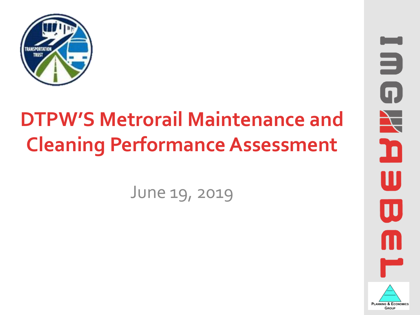

# **DTPW'S Metrorail Maintenance and Cleaning Performance Assessment**

June 19, 2019

3  $\blacksquare$  $\blacktriangle$ 'n  $\prod$  $\blacksquare$ **PLANNING & ECONOMICS** GROUP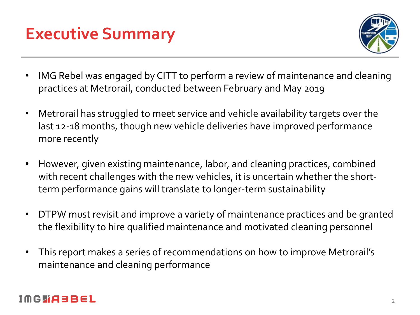



- IMG Rebel was engaged by CITT to perform a review of maintenance and cleaning practices at Metrorail, conducted between February and May 2019
- Metrorail has struggled to meet service and vehicle availability targets over the last 12-18 months, though new vehicle deliveries have improved performance more recently
- However, given existing maintenance, labor, and cleaning practices, combined with recent challenges with the new vehicles, it is uncertain whether the shortterm performance gains will translate to longer-term sustainability
- DTPW must revisit and improve a variety of maintenance practices and be granted the flexibility to hire qualified maintenance and motivated cleaning personnel
- This report makes a series of recommendations on how to improve Metrorail's maintenance and cleaning performance

#### IMGWA3BEL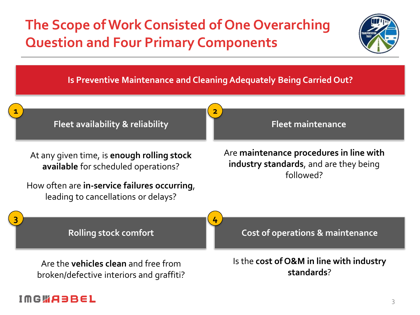### **The Scope of Work Consisted of One Overarching Question and Four Primary Components**







#### IMGWA3BEL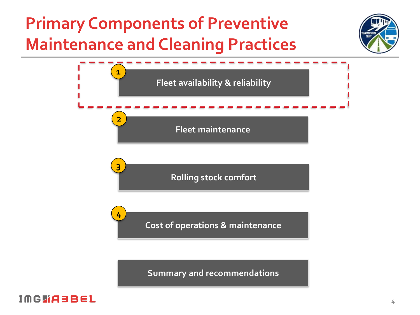## **Primary Components of Preventive Maintenance and Cleaning Practices**





**Summary and recommendations**

#### **IMGWABBEL**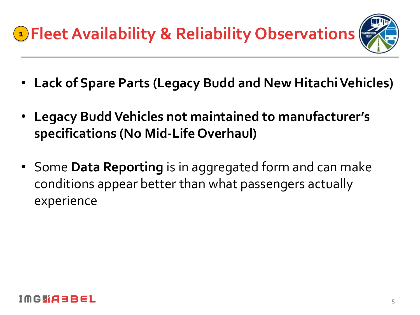- **Lack of Spare Parts (Legacy Budd and New Hitachi Vehicles)**
- **Legacy Budd Vehicles not maintained to manufacturer's specifications (No Mid-Life Overhaul)**
- Some **Data Reporting** is in aggregated form and can make conditions appear better than what passengers actually experience

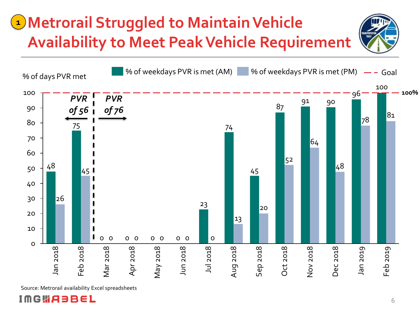## **Metrorail Struggled to Maintain Vehicle 1Availability to Meet Peak Vehicle Requirement**





Source: Metrorail availability Excel spreadsheets

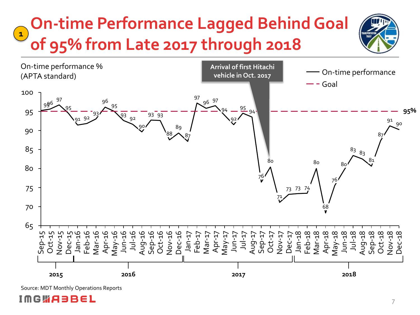#### **On-time Performance Lagged Behind Goal of 95% from Late 2017 through 2018 1**



Source: MDT Monthly Operations Reports

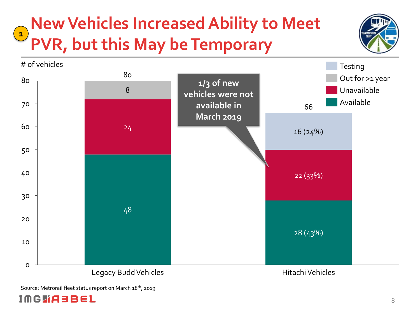#### **New Vehicles Increased Ability to Meet PVR, but this May be Temporary**  $\begin{pmatrix} 1 \end{pmatrix}$





Source: Metrorail fleet status report on March 18<sup>th</sup>, 2019

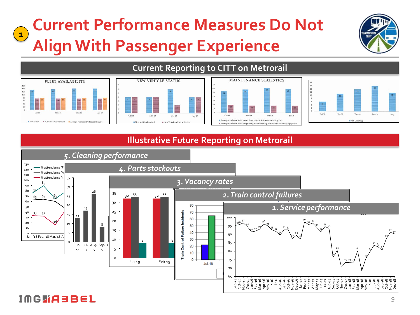#### **Current Performance Measures Do Not Align With Passenger Experience 1**



# FLEET AVAILABILITY **B** A.M. Peak Rec







#### **Illustrative Future Reporting on Metrorail**

**Current Reporting to CITT on Metrorail**

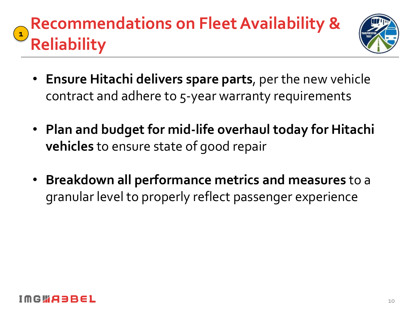#### **Recommendations on Fleet Availability & Reliability 1**



- **Ensure Hitachi delivers spare parts**, per the new vehicle contract and adhere to 5-year warranty requirements
- **Plan and budget for mid-life overhaul today for Hitachi vehicles** to ensure state of good repair
- **Breakdown all performance metrics and measures** to a granular level to properly reflect passenger experience

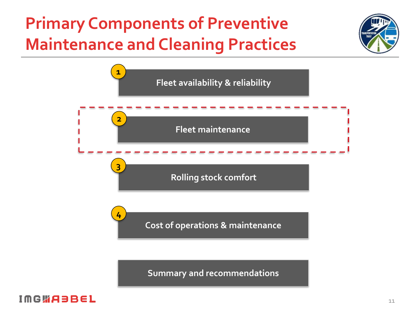## **Primary Components of Preventive Maintenance and Cleaning Practices**





**Summary and recommendations**

#### **IMGWABBEL**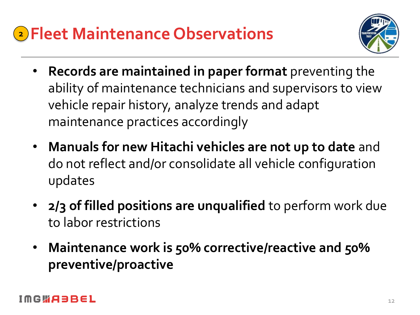## **Fleet Maintenance Observations 2**



- **Records are maintained in paper format** preventing the ability of maintenance technicians and supervisors to view vehicle repair history, analyze trends and adapt maintenance practices accordingly
- **Manuals for new Hitachi vehicles are not up to date** and do not reflect and/or consolidate all vehicle configuration updates
- **2/3 of filled positions are unqualified** to perform work due to labor restrictions
- **Maintenance work is 50% corrective/reactive and 50% preventive/proactive**

#### | G W A Ə B E L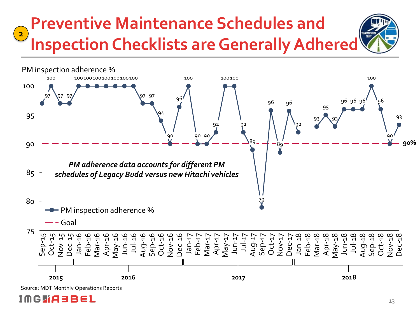#### **Preventive Maintenance Schedules and Inspection Checklists are Generally Adhered 2**



Source: MDT Monthly Operations Reports

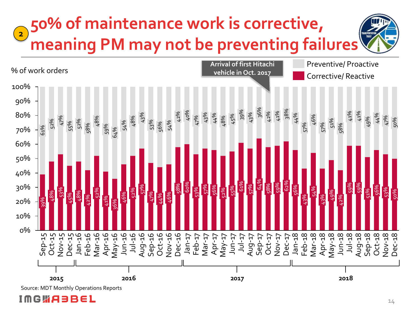

Source: MDT Monthly Operations Reports

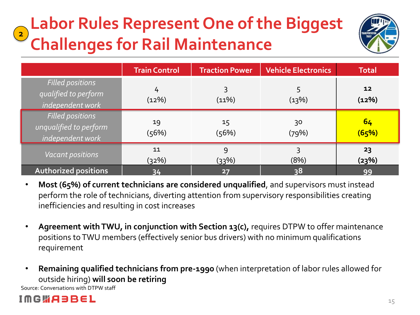#### **Labor Rules Represent One of the Biggest Challenges for Rail Maintenance 2**



|                                                                       | <b>Train Control</b> | <b>Traction Power</b> | <b>Vehicle Electronics</b> | <b>Total</b> |
|-----------------------------------------------------------------------|----------------------|-----------------------|----------------------------|--------------|
| <b>Filled positions</b><br>qualified to perform<br>independent work   | 4<br>(12%)           | 3<br>(11%)            | 5<br>(13%)                 | 12<br>(12%)  |
| <b>Filled positions</b><br>unqualified to perform<br>independent work | 19<br>(56%)          | 15<br>(56%)           | 30<br>(79%)                | 64<br>(65%)  |
| <b>Vacant positions</b>                                               | 11<br>(32%)          | 9<br>(33%)            | 3<br>(8%)                  | 23<br>(23%)  |
| <b>Authorized positions</b>                                           | 34                   | 27                    | 38                         | 99           |

- **Most (65%) of current technicians are considered unqualified**, and supervisors must instead perform the role of technicians, diverting attention from supervisory responsibilities creating inefficiencies and resulting in cost increases
- **Agreement with TWU, in conjunction with Section 13(c),** requires DTPW to offer maintenance positions to TWU members (effectively senior bus drivers) with no minimum qualifications requirement
- **Remaining qualified technicians from pre-1990** (when interpretation of labor rules allowed for outside hiring) **will soon be retiring**

Source: Conversations with DTPW staff

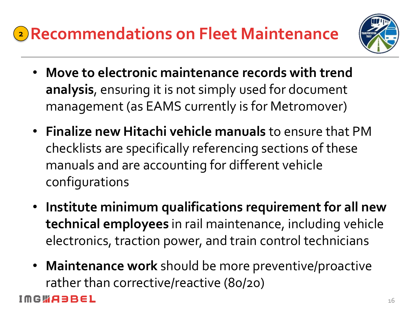

- **Move to electronic maintenance records with trend analysis**, ensuring it is not simply used for document management (as EAMS currently is for Metromover)
- **Finalize new Hitachi vehicle manuals** to ensure that PM checklists are specifically referencing sections of these manuals and are accounting for different vehicle configurations
- **Institute minimum qualifications requirement for all new technical employees** in rail maintenance, including vehicle electronics, traction power, and train control technicians
- **Maintenance work** should be more preventive/proactive rather than corrective/reactive (80/20)

#### **GWABBEL**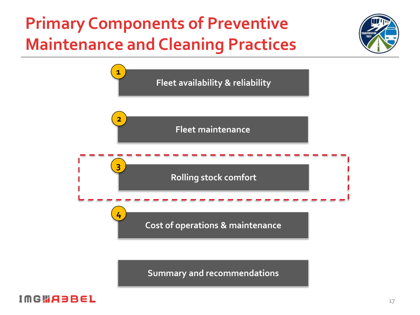## **Primary Components of Preventive Maintenance and Cleaning Practices**





**Summary and recommendations**

#### **IMGWABBEL**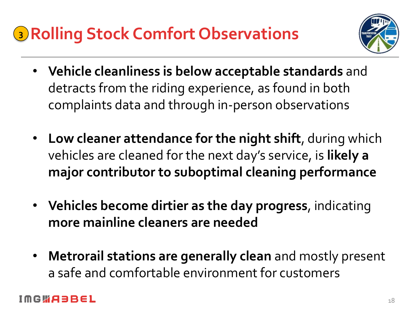## **Rolling Stock Comfort Observations 3**



- **Vehicle cleanliness is below acceptable standards** and detracts from the riding experience, as found in both complaints data and through in-person observations
- **Low cleaner attendance for the night shift**, during which vehicles are cleaned for the next day's service, is **likely a major contributor to suboptimal cleaning performance**
- **Vehicles become dirtier as the day progress**, indicating **more mainline cleaners are needed**
- **Metrorail stations are generally clean** and mostly present a safe and comfortable environment for customers

#### GWABBEL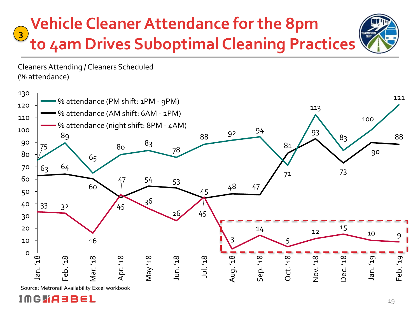#### **Vehicle Cleaner Attendance for the 8pm to 4am Drives Suboptimal Cleaning Practices**





Source: Metrorail Availability Excel workbook

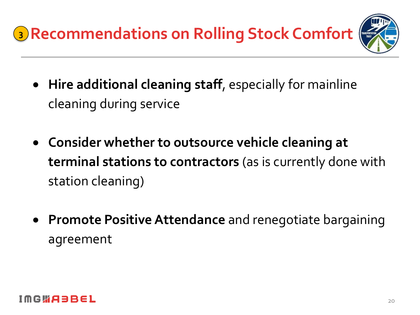**Recommendations on Rolling Stock Comfort 3**

- **Hire additional cleaning staff**, especially for mainline cleaning during service
- **Consider whether to outsource vehicle cleaning at terminal stations to contractors** (as is currently done with station cleaning)
- **Promote Positive Attendance** and renegotiate bargaining agreement

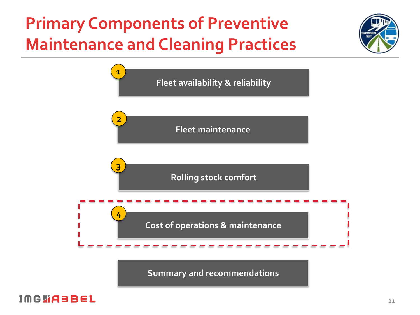## **Primary Components of Preventive Maintenance and Cleaning Practices**





**Summary and recommendations**

#### **IMGWABBEL**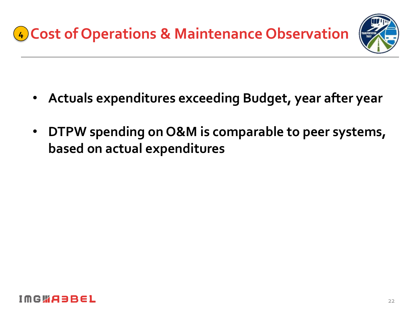

- **Actuals expenditures exceeding Budget, year after year**
- **DTPW spending on O&M is comparable to peer systems, based on actual expenditures**

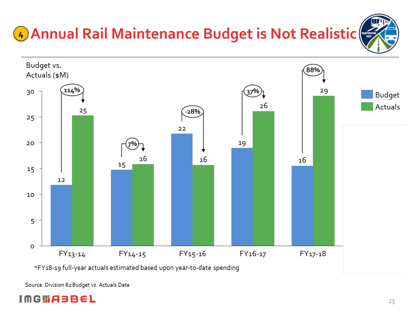# **Annual Rail Maintenance Budget is Not Realistic 4**



\*FY18-19 full-year actuals estimated based upon year-to-date spending

Source: Division 82 Budget vs. Actuals Data

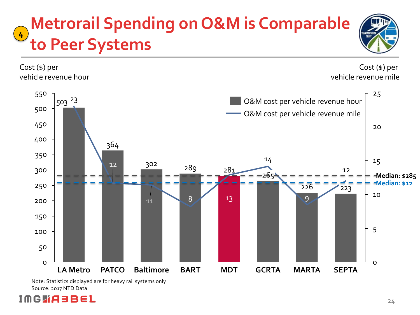#### **Metrorail Spending on O&M is Comparable to Peer Systems**





Note: Statistics displayed are for heavy rail systems only Source: 2017 NTD Data

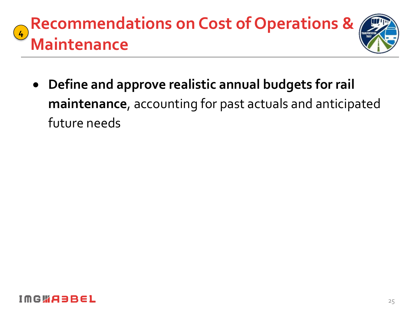#### **Recommendations on Cost of Operations & Maintenance 4**



• **Define and approve realistic annual budgets for rail maintenance**, accounting for past actuals and anticipated future needs

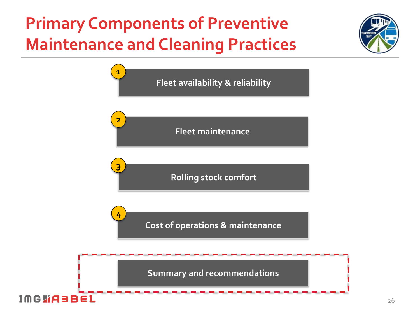## **Primary Components of Preventive Maintenance and Cleaning Practices**



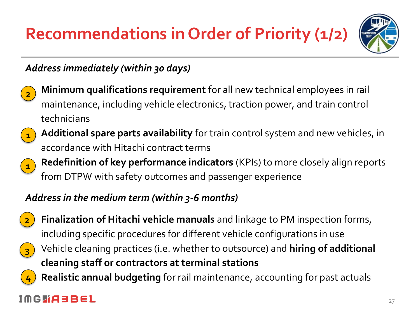## **Recommendations in Order of Priority (1/2)**



#### *Address immediately (within 30 days)*



• **Minimum qualifications requirement** for all new technical employees in rail maintenance, including vehicle electronics, traction power, and train control technicians



• **Additional spare parts availability** for train control system and new vehicles, in accordance with Hitachi contract terms

• **Redefinition of key performance indicators** (KPIs) to more closely align reports from DTPW with safety outcomes and passenger experience **1**

#### *Address in the medium term (within 3-6 months)*



**4**

• **Finalization of Hitachi vehicle manuals** and linkage to PM inspection forms, including specific procedures for different vehicle configurations in use



• **Realistic annual budgeting** for rail maintenance, accounting for past actuals

#### IMGWA3BEL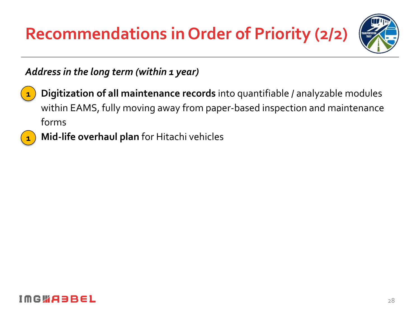**Recommendations in Order of Priority (2/2)**



#### *Address in the long term (within 1 year)*



**1**

• **Digitization of all maintenance records** into quantifiable / analyzable modules within EAMS, fully moving away from paper-based inspection and maintenance forms

• **Mid-life overhaul plan** for Hitachi vehicles

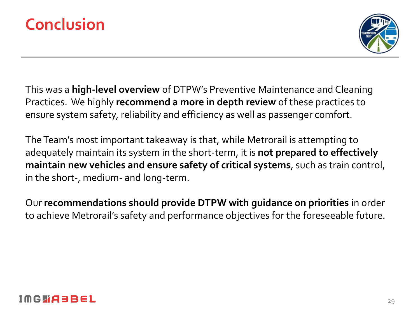



This was a **high-level overview** of DTPW's Preventive Maintenance and Cleaning Practices. We highly **recommend a more in depth review** of these practices to ensure system safety, reliability and efficiency as well as passenger comfort.

The Team's most important takeaway is that, while Metrorail is attempting to adequately maintain its system in the short-term, it is **not prepared to effectively maintain new vehicles and ensure safety of critical systems**, such as train control, in the short-, medium- and long-term.

Our **recommendations should provide DTPW with guidance on priorities** in order to achieve Metrorail's safety and performance objectives for the foreseeable future.